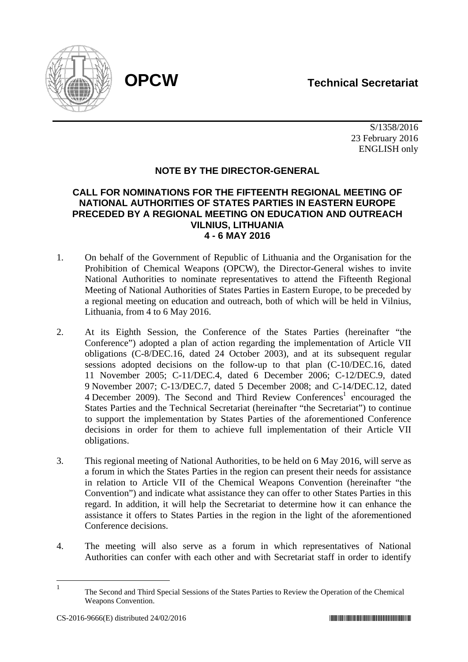# **OPCW Technical Secretariat**



S/1358/2016 23 February 2016 ENGLISH only

## **NOTE BY THE DIRECTOR-GENERAL**

### **CALL FOR NOMINATIONS FOR THE FIFTEENTH REGIONAL MEETING OF NATIONAL AUTHORITIES OF STATES PARTIES IN EASTERN EUROPE PRECEDED BY A REGIONAL MEETING ON EDUCATION AND OUTREACH VILNIUS, LITHUANIA 4 - 6 MAY 2016**

- 1. On behalf of the Government of Republic of Lithuania and the Organisation for the Prohibition of Chemical Weapons (OPCW), the Director-General wishes to invite National Authorities to nominate representatives to attend the Fifteenth Regional Meeting of National Authorities of States Parties in Eastern Europe, to be preceded by a regional meeting on education and outreach, both of which will be held in Vilnius, Lithuania, from 4 to 6 May 2016.
- 2. At its Eighth Session, the Conference of the States Parties (hereinafter "the Conference") adopted a plan of action regarding the implementation of Article VII obligations (C-8/DEC.16, dated 24 October 2003), and at its subsequent regular sessions adopted decisions on the follow-up to that plan (C-10/DEC.16, dated 11 November 2005; C-11/DEC.4, dated 6 December 2006; C-12/DEC.9, dated 9 November 2007; C-13/DEC.7, dated 5 December 2008; and C-14/DEC.12, dated 4 December 2009). The Second and Third Review Conferences<sup>1</sup> encouraged the States Parties and the Technical Secretariat (hereinafter "the Secretariat") to continue to support the implementation by States Parties of the aforementioned Conference decisions in order for them to achieve full implementation of their Article VII obligations.
- 3. This regional meeting of National Authorities, to be held on 6 May 2016, will serve as a forum in which the States Parties in the region can present their needs for assistance in relation to Article VII of the Chemical Weapons Convention (hereinafter "the Convention") and indicate what assistance they can offer to other States Parties in this regard. In addition, it will help the Secretariat to determine how it can enhance the assistance it offers to States Parties in the region in the light of the aforementioned Conference decisions.
- 4. The meeting will also serve as a forum in which representatives of National Authorities can confer with each other and with Secretariat staff in order to identify

 $\frac{1}{1}$ 

The Second and Third Special Sessions of the States Parties to Review the Operation of the Chemical Weapons Convention.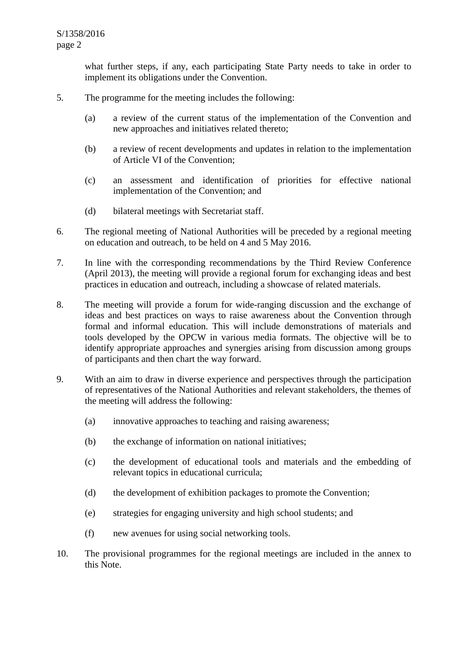what further steps, if any, each participating State Party needs to take in order to implement its obligations under the Convention.

- 5. The programme for the meeting includes the following:
	- (a) a review of the current status of the implementation of the Convention and new approaches and initiatives related thereto;
	- (b) a review of recent developments and updates in relation to the implementation of Article VI of the Convention;
	- (c) an assessment and identification of priorities for effective national implementation of the Convention; and
	- (d) bilateral meetings with Secretariat staff.
- 6. The regional meeting of National Authorities will be preceded by a regional meeting on education and outreach, to be held on 4 and 5 May 2016.
- 7. In line with the corresponding recommendations by the Third Review Conference (April 2013), the meeting will provide a regional forum for exchanging ideas and best practices in education and outreach, including a showcase of related materials.
- 8. The meeting will provide a forum for wide-ranging discussion and the exchange of ideas and best practices on ways to raise awareness about the Convention through formal and informal education. This will include demonstrations of materials and tools developed by the OPCW in various media formats. The objective will be to identify appropriate approaches and synergies arising from discussion among groups of participants and then chart the way forward.
- 9. With an aim to draw in diverse experience and perspectives through the participation of representatives of the National Authorities and relevant stakeholders, the themes of the meeting will address the following:
	- (a) innovative approaches to teaching and raising awareness;
	- (b) the exchange of information on national initiatives;
	- (c) the development of educational tools and materials and the embedding of relevant topics in educational curricula;
	- (d) the development of exhibition packages to promote the Convention;
	- (e) strategies for engaging university and high school students; and
	- (f) new avenues for using social networking tools.
- 10. The provisional programmes for the regional meetings are included in the annex to this Note.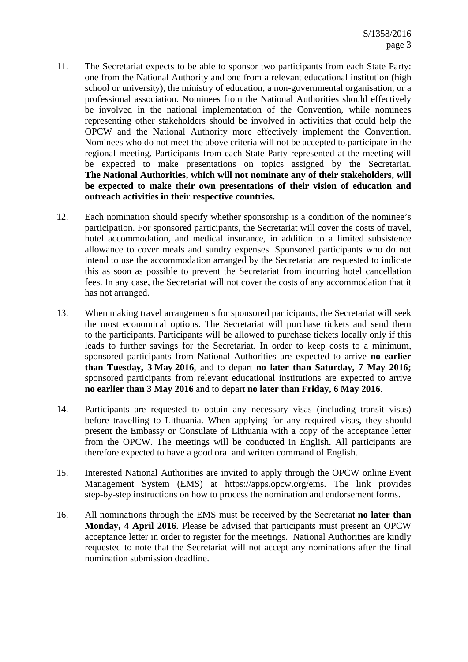- 11. The Secretariat expects to be able to sponsor two participants from each State Party: one from the National Authority and one from a relevant educational institution (high school or university), the ministry of education, a non-governmental organisation, or a professional association. Nominees from the National Authorities should effectively be involved in the national implementation of the Convention, while nominees representing other stakeholders should be involved in activities that could help the OPCW and the National Authority more effectively implement the Convention. Nominees who do not meet the above criteria will not be accepted to participate in the regional meeting. Participants from each State Party represented at the meeting will be expected to make presentations on topics assigned by the Secretariat. **The National Authorities, which will not nominate any of their stakeholders, will be expected to make their own presentations of their vision of education and outreach activities in their respective countries.**
- 12. Each nomination should specify whether sponsorship is a condition of the nominee's participation. For sponsored participants, the Secretariat will cover the costs of travel, hotel accommodation, and medical insurance, in addition to a limited subsistence allowance to cover meals and sundry expenses. Sponsored participants who do not intend to use the accommodation arranged by the Secretariat are requested to indicate this as soon as possible to prevent the Secretariat from incurring hotel cancellation fees. In any case, the Secretariat will not cover the costs of any accommodation that it has not arranged.
- 13. When making travel arrangements for sponsored participants, the Secretariat will seek the most economical options. The Secretariat will purchase tickets and send them to the participants. Participants will be allowed to purchase tickets locally only if this leads to further savings for the Secretariat. In order to keep costs to a minimum, sponsored participants from National Authorities are expected to arrive **no earlier than Tuesday, 3 May 2016**, and to depart **no later than Saturday, 7 May 2016;**  sponsored participants from relevant educational institutions are expected to arrive **no earlier than 3 May 2016** and to depart **no later than Friday, 6 May 2016**.
- 14. Participants are requested to obtain any necessary visas (including transit visas) before travelling to Lithuania. When applying for any required visas, they should present the Embassy or Consulate of Lithuania with a copy of the acceptance letter from the OPCW. The meetings will be conducted in English. All participants are therefore expected to have a good oral and written command of English.
- 15. Interested National Authorities are invited to apply through the OPCW online Event Management System (EMS) at https://apps.opcw.org/ems. The link provides step-by-step instructions on how to process the nomination and endorsement forms.
- 16. All nominations through the EMS must be received by the Secretariat **no later than Monday, 4 April 2016**. Please be advised that participants must present an OPCW acceptance letter in order to register for the meetings. National Authorities are kindly requested to note that the Secretariat will not accept any nominations after the final nomination submission deadline.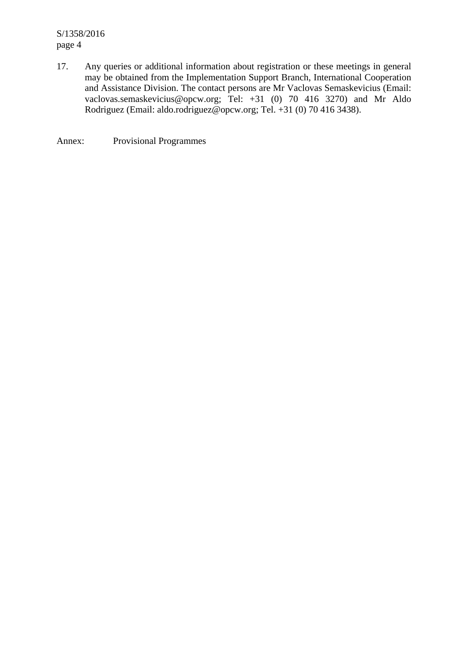S/1358/2016 page 4

17. Any queries or additional information about registration or these meetings in general may be obtained from the Implementation Support Branch, International Cooperation and Assistance Division. The contact persons are Mr Vaclovas Semaskevicius (Email: vaclovas.semaskevicius@opcw.org; Tel: +31 (0) 70 416 3270) and Mr Aldo Rodriguez (Email: aldo.rodriguez@opcw.org; Tel. +31 (0) 70 416 3438).

Annex: Provisional Programmes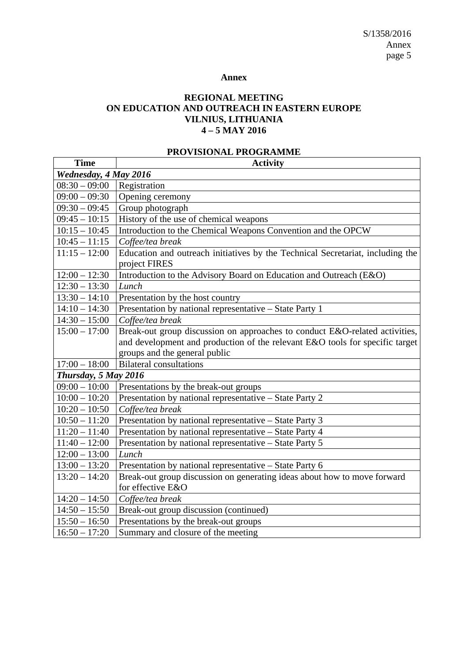#### **Annex**

#### **REGIONAL MEETING ON EDUCATION AND OUTREACH IN EASTERN EUROPE VILNIUS, LITHUANIA 4 – 5 MAY 2016**

## **PROVISIONAL PROGRAMME**

| <b>Time</b>           | <b>Activity</b>                                                                                 |  |
|-----------------------|-------------------------------------------------------------------------------------------------|--|
| Wednesday, 4 May 2016 |                                                                                                 |  |
| $08:30 - 09:00$       | Registration                                                                                    |  |
| $09:00 - 09:30$       | Opening ceremony                                                                                |  |
| $09:30 - 09:45$       | Group photograph                                                                                |  |
| $09:45 - 10:15$       | History of the use of chemical weapons                                                          |  |
| $10:15 - 10:45$       | Introduction to the Chemical Weapons Convention and the OPCW                                    |  |
| $10:45 - 11:15$       | Coffee/tea break                                                                                |  |
| $11:15 - 12:00$       | Education and outreach initiatives by the Technical Secretariat, including the<br>project FIRES |  |
| $12:00 - 12:30$       | Introduction to the Advisory Board on Education and Outreach (E&O)                              |  |
| $12:30 - 13:30$       | Lunch                                                                                           |  |
| $13:30 - 14:10$       | Presentation by the host country                                                                |  |
| $14:10 - 14:30$       | Presentation by national representative - State Party 1                                         |  |
| $14:30 - 15:00$       | Coffee/tea break                                                                                |  |
| $15:00 - 17:00$       | Break-out group discussion on approaches to conduct E&O-related activities,                     |  |
|                       | and development and production of the relevant E&O tools for specific target                    |  |
|                       | groups and the general public                                                                   |  |
| $17:00 - 18:00$       | <b>Bilateral consultations</b>                                                                  |  |
| Thursday, 5 May 2016  |                                                                                                 |  |
| $09:00 - 10:00$       | Presentations by the break-out groups                                                           |  |
| $10:00 - 10:20$       | Presentation by national representative - State Party 2                                         |  |
| $10:20 - 10:50$       | Coffee/tea break                                                                                |  |
| $10:50 - 11:20$       | Presentation by national representative - State Party 3                                         |  |
| $11:20 - 11:40$       | Presentation by national representative - State Party 4                                         |  |
| $11:40 - 12:00$       | Presentation by national representative - State Party 5                                         |  |
| $12:00 - 13:00$       | Lunch                                                                                           |  |
| $13:00 - 13:20$       | Presentation by national representative - State Party 6                                         |  |
| $13:20 - 14:20$       | Break-out group discussion on generating ideas about how to move forward<br>for effective E&O   |  |
| $14:20 - 14:50$       | Coffee/tea break                                                                                |  |
| $14:50 - 15:50$       | Break-out group discussion (continued)                                                          |  |
| $15:50 - 16:50$       | Presentations by the break-out groups                                                           |  |
| $16:50 - 17:20$       | Summary and closure of the meeting                                                              |  |